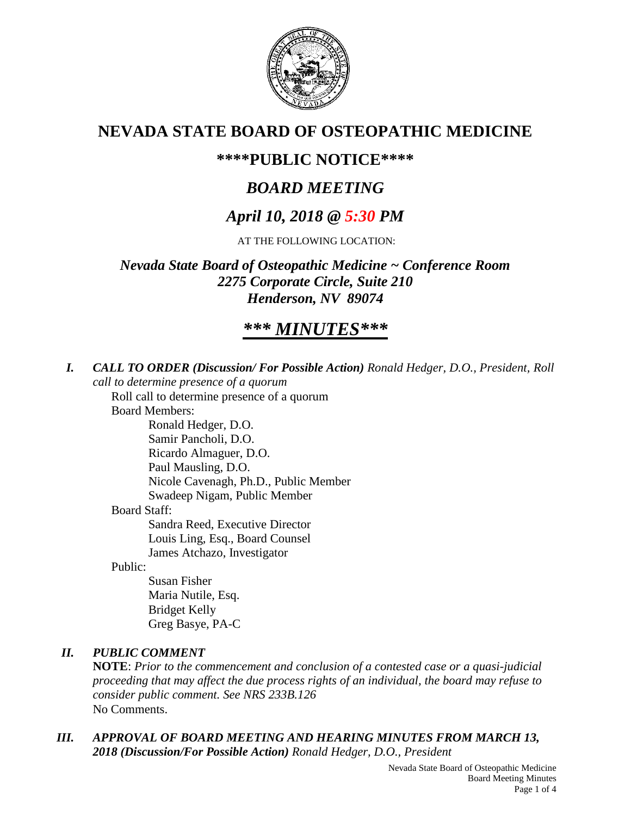

# **NEVADA STATE BOARD OF OSTEOPATHIC MEDICINE**

# **\*\*\*\*PUBLIC NOTICE\*\*\*\***

# *BOARD MEETING*

# *April 10, 2018 @ 5:30 PM*

AT THE FOLLOWING LOCATION:

*Nevada State Board of Osteopathic Medicine ~ Conference Room 2275 Corporate Circle, Suite 210 Henderson, NV 89074*

# *\*\*\* MINUTES\*\*\**

*I. CALL TO ORDER (Discussion/ For Possible Action) Ronald Hedger, D.O., President, Roll call to determine presence of a quorum*

Roll call to determine presence of a quorum

Board Members:

Ronald Hedger, D.O. Samir Pancholi, D.O. Ricardo Almaguer, D.O. Paul Mausling, D.O. Nicole Cavenagh, Ph.D., Public Member Swadeep Nigam, Public Member Board Staff: Sandra Reed, Executive Director Louis Ling, Esq., Board Counsel James Atchazo, Investigator

Public:

Susan Fisher Maria Nutile, Esq. Bridget Kelly Greg Basye, PA-C

## *II. PUBLIC COMMENT*

**NOTE**: *Prior to the commencement and conclusion of a contested case or a quasi-judicial proceeding that may affect the due process rights of an individual, the board may refuse to consider public comment. See NRS 233B.126* No Comments.

### *III. APPROVAL OF BOARD MEETING AND HEARING MINUTES FROM MARCH 13, 2018 (Discussion/For Possible Action) Ronald Hedger, D.O., President*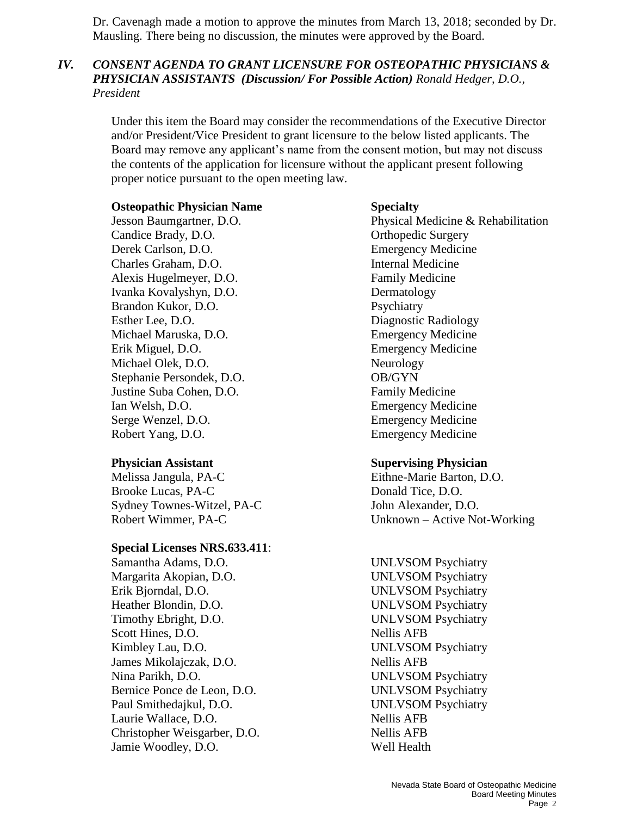Dr. Cavenagh made a motion to approve the minutes from March 13, 2018; seconded by Dr. Mausling. There being no discussion, the minutes were approved by the Board.

### *IV. CONSENT AGENDA TO GRANT LICENSURE FOR OSTEOPATHIC PHYSICIANS & PHYSICIAN ASSISTANTS (Discussion/ For Possible Action) Ronald Hedger, D.O., President*

Under this item the Board may consider the recommendations of the Executive Director and/or President/Vice President to grant licensure to the below listed applicants. The Board may remove any applicant's name from the consent motion, but may not discuss the contents of the application for licensure without the applicant present following proper notice pursuant to the open meeting law.

### **Osteopathic Physician Name Specialty**

Candice Brady, D.O. **Orthopedic Surgery** Derek Carlson, D.O. Emergency Medicine Charles Graham, D.O. Internal Medicine Alexis Hugelmeyer, D.O. Family Medicine Ivanka Kovalyshyn, D.O. Dermatology Brandon Kukor, D.O. Psychiatry Esther Lee, D.O. Diagnostic Radiology Michael Maruska, D.O. Emergency Medicine Erik Miguel, D.O. Emergency Medicine Michael Olek, D.O. Neurology Stephanie Persondek, D.O. OB/GYN Justine Suba Cohen, D.O. Family Medicine Ian Welsh, D.O. Emergency Medicine Serge Wenzel, D.O. Emergency Medicine Robert Yang, D.O. Emergency Medicine

Melissa Jangula, PA-C Eithne-Marie Barton, D.O. Brooke Lucas, PA-C Donald Tice, D.O. Sydney Townes-Witzel, PA-C John Alexander, D.O.

### **Special Licenses NRS.633.411**:

Samantha Adams, D.O. UNLVSOM Psychiatry Margarita Akopian, D.O. UNLVSOM Psychiatry Erik Bjorndal, D.O. UNLVSOM Psychiatry Heather Blondin, D.O. UNLVSOM Psychiatry Timothy Ebright, D.O. UNLVSOM Psychiatry Scott Hines, D.O. Nellis AFB Kimbley Lau, D.O. UNLVSOM Psychiatry James Mikolajczak, D.O. Nellis AFB Nina Parikh, D.O. UNLVSOM Psychiatry Bernice Ponce de Leon, D.O. UNLVSOM Psychiatry Paul Smithedajkul, D.O. UNLVSOM Psychiatry Laurie Wallace, D.O. Nellis AFB Christopher Weisgarber, D.O. Nellis AFB Jamie Woodley, D.O. Well Health

Jesson Baumgartner, D.O. Physical Medicine & Rehabilitation

### **Physician Assistant Supervising Physician**

Robert Wimmer, PA-C Unknown – Active Not-Working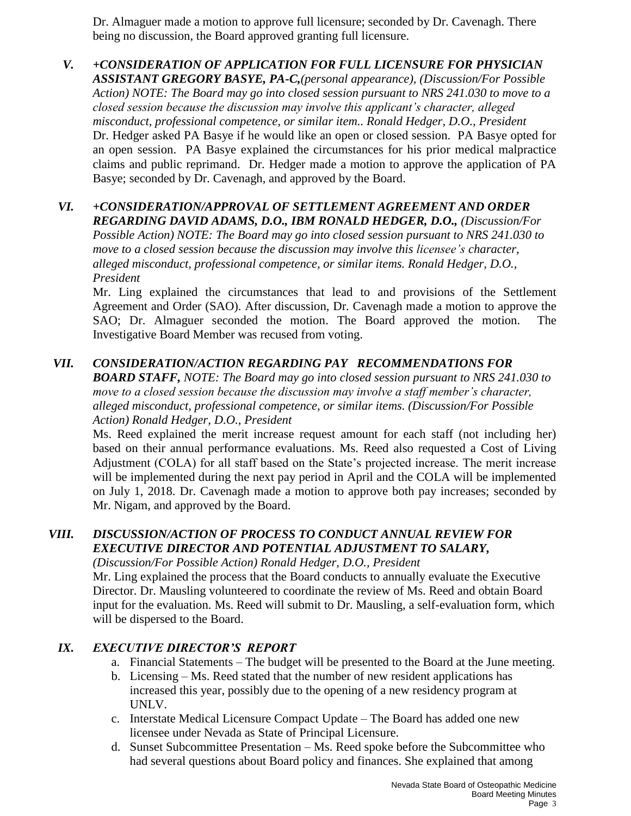Dr. Almaguer made a motion to approve full licensure; seconded by Dr. Cavenagh. There being no discussion, the Board approved granting full licensure.

*V. +CONSIDERATION OF APPLICATION FOR FULL LICENSURE FOR PHYSICIAN ASSISTANT GREGORY BASYE, PA-C,(personal appearance), (Discussion/For Possible Action) NOTE: The Board may go into closed session pursuant to NRS 241.030 to move to a closed session because the discussion may involve this applicant's character, alleged misconduct, professional competence, or similar item.. Ronald Hedger, D.O., President*  Dr. Hedger asked PA Basye if he would like an open or closed session. PA Basye opted for an open session. PA Basye explained the circumstances for his prior medical malpractice claims and public reprimand. Dr. Hedger made a motion to approve the application of PA Basye; seconded by Dr. Cavenagh, and approved by the Board.

## *VI. +CONSIDERATION/APPROVAL OF SETTLEMENT AGREEMENT AND ORDER REGARDING DAVID ADAMS, D.O., IBM RONALD HEDGER, D.O., (Discussion/For*

*Possible Action) NOTE: The Board may go into closed session pursuant to NRS 241.030 to move to a closed session because the discussion may involve this licensee's character, alleged misconduct, professional competence, or similar items. Ronald Hedger, D.O., President*

Mr. Ling explained the circumstances that lead to and provisions of the Settlement Agreement and Order (SAO). After discussion, Dr. Cavenagh made a motion to approve the SAO; Dr. Almaguer seconded the motion. The Board approved the motion. The Investigative Board Member was recused from voting.

## *VII. CONSIDERATION/ACTION REGARDING PAY RECOMMENDATIONS FOR*

*BOARD STAFF, NOTE: The Board may go into closed session pursuant to NRS 241.030 to move to a closed session because the discussion may involve a staff member's character, alleged misconduct, professional competence, or similar items. (Discussion/For Possible Action) Ronald Hedger, D.O., President*

Ms. Reed explained the merit increase request amount for each staff (not including her) based on their annual performance evaluations. Ms. Reed also requested a Cost of Living Adjustment (COLA) for all staff based on the State's projected increase. The merit increase will be implemented during the next pay period in April and the COLA will be implemented on July 1, 2018. Dr. Cavenagh made a motion to approve both pay increases; seconded by Mr. Nigam, and approved by the Board.

## *VIII. DISCUSSION/ACTION OF PROCESS TO CONDUCT ANNUAL REVIEW FOR EXECUTIVE DIRECTOR AND POTENTIAL ADJUSTMENT TO SALARY,*

*(Discussion/For Possible Action) Ronald Hedger, D.O., President*

Mr. Ling explained the process that the Board conducts to annually evaluate the Executive Director. Dr. Mausling volunteered to coordinate the review of Ms. Reed and obtain Board input for the evaluation. Ms. Reed will submit to Dr. Mausling, a self-evaluation form, which will be dispersed to the Board.

## *IX. EXECUTIVE DIRECTOR'S REPORT*

- a. Financial Statements The budget will be presented to the Board at the June meeting.
- b. Licensing Ms. Reed stated that the number of new resident applications has increased this year, possibly due to the opening of a new residency program at UNLV.
- c. Interstate Medical Licensure Compact Update The Board has added one new licensee under Nevada as State of Principal Licensure.
- d. Sunset Subcommittee Presentation Ms. Reed spoke before the Subcommittee who had several questions about Board policy and finances. She explained that among